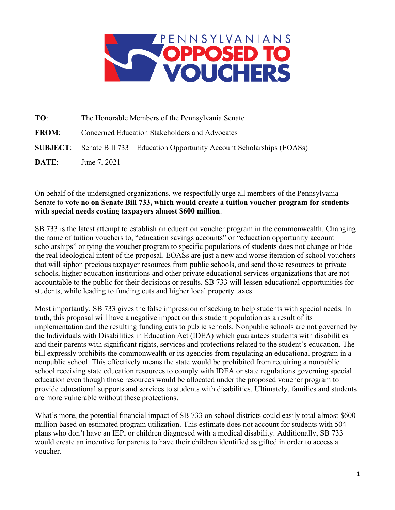

| TO:          | The Honorable Members of the Pennsylvania Senate                                     |
|--------------|--------------------------------------------------------------------------------------|
| <b>FROM:</b> | Concerned Education Stakeholders and Advocates                                       |
|              | <b>SUBJECT:</b> Senate Bill 733 – Education Opportunity Account Scholarships (EOASs) |
| DATE:        | June 7, 2021                                                                         |

On behalf of the undersigned organizations, we respectfully urge all members of the Pennsylvania Senate to **vote no on Senate Bill 733, which would create a tuition voucher program for students with special needs costing taxpayers almost \$600 million**.

SB 733 is the latest attempt to establish an education voucher program in the commonwealth. Changing the name of tuition vouchers to, "education savings accounts" or "education opportunity account scholarships" or tying the voucher program to specific populations of students does not change or hide the real ideological intent of the proposal. EOASs are just a new and worse iteration of school vouchers that will siphon precious taxpayer resources from public schools, and send those resources to private schools, higher education institutions and other private educational services organizations that are not accountable to the public for their decisions or results. SB 733 will lessen educational opportunities for students, while leading to funding cuts and higher local property taxes.

Most importantly, SB 733 gives the false impression of seeking to help students with special needs. In truth, this proposal will have a negative impact on this student population as a result of its implementation and the resulting funding cuts to public schools. Nonpublic schools are not governed by the Individuals with Disabilities in Education Act (IDEA) which guarantees students with disabilities and their parents with significant rights, services and protections related to the student's education. The bill expressly prohibits the commonwealth or its agencies from regulating an educational program in a nonpublic school. This effectively means the state would be prohibited from requiring a nonpublic school receiving state education resources to comply with IDEA or state regulations governing special education even though those resources would be allocated under the proposed voucher program to provide educational supports and services to students with disabilities. Ultimately, families and students are more vulnerable without these protections.

What's more, the potential financial impact of SB 733 on school districts could easily total almost \$600 million based on estimated program utilization. This estimate does not account for students with 504 plans who don't have an IEP, or children diagnosed with a medical disability. Additionally, SB 733 would create an incentive for parents to have their children identified as gifted in order to access a voucher.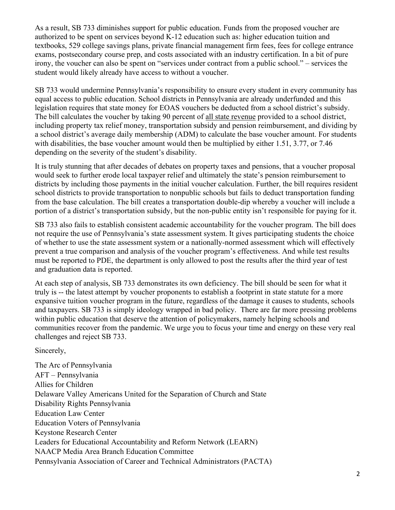As a result, SB 733 diminishes support for public education. Funds from the proposed voucher are authorized to be spent on services beyond K-12 education such as: higher education tuition and textbooks, 529 college savings plans, private financial management firm fees, fees for college entrance exams, postsecondary course prep, and costs associated with an industry certification. In a bit of pure irony, the voucher can also be spent on "services under contract from a public school." – services the student would likely already have access to without a voucher.

SB 733 would undermine Pennsylvania's responsibility to ensure every student in every community has equal access to public education. School districts in Pennsylvania are already underfunded and this legislation requires that state money for EOAS vouchers be deducted from a school district's subsidy. The bill calculates the voucher by taking 90 percent of all state revenue provided to a school district, including property tax relief money, transportation subsidy and pension reimbursement, and dividing by a school district's average daily membership (ADM) to calculate the base voucher amount. For students with disabilities, the base voucher amount would then be multiplied by either 1.51, 3.77, or 7.46 depending on the severity of the student's disability.

It is truly stunning that after decades of debates on property taxes and pensions, that a voucher proposal would seek to further erode local taxpayer relief and ultimately the state's pension reimbursement to districts by including those payments in the initial voucher calculation. Further, the bill requires resident school districts to provide transportation to nonpublic schools but fails to deduct transportation funding from the base calculation. The bill creates a transportation double-dip whereby a voucher will include a portion of a district's transportation subsidy, but the non-public entity isn't responsible for paying for it.

SB 733 also fails to establish consistent academic accountability for the voucher program. The bill does not require the use of Pennsylvania's state assessment system. It gives participating students the choice of whether to use the state assessment system or a nationally-normed assessment which will effectively prevent a true comparison and analysis of the voucher program's effectiveness. And while test results must be reported to PDE, the department is only allowed to post the results after the third year of test and graduation data is reported.

At each step of analysis, SB 733 demonstrates its own deficiency. The bill should be seen for what it truly is -- the latest attempt by voucher proponents to establish a footprint in state statute for a more expansive tuition voucher program in the future, regardless of the damage it causes to students, schools and taxpayers. SB 733 is simply ideology wrapped in bad policy. There are far more pressing problems within public education that deserve the attention of policymakers, namely helping schools and communities recover from the pandemic. We urge you to focus your time and energy on these very real challenges and reject SB 733.

Sincerely,

The Arc of Pennsylvania AFT – Pennsylvania Allies for Children Delaware Valley Americans United for the Separation of Church and State Disability Rights Pennsylvania Education Law Center Education Voters of Pennsylvania Keystone Research Center Leaders for Educational Accountability and Reform Network (LEARN) NAACP Media Area Branch Education Committee Pennsylvania Association of Career and Technical Administrators (PACTA)